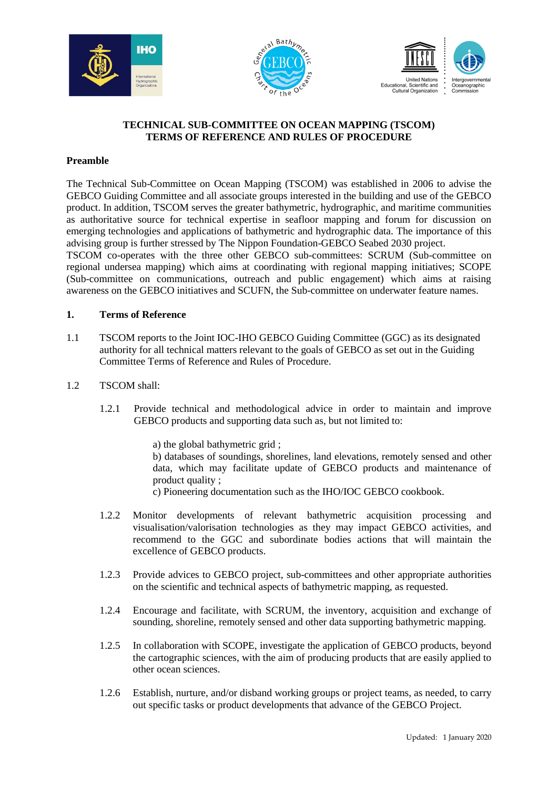





## **TECHNICAL SUB-COMMITTEE ON OCEAN MAPPING (TSCOM) TERMS OF REFERENCE AND RULES OF PROCEDURE**

## **Preamble**

The Technical Sub-Committee on Ocean Mapping (TSCOM) was established in 2006 to advise the GEBCO Guiding Committee and all associate groups interested in the building and use of the GEBCO product. In addition, TSCOM serves the greater bathymetric, hydrographic, and maritime communities as authoritative source for technical expertise in seafloor mapping and forum for discussion on emerging technologies and applications of bathymetric and hydrographic data. The importance of this advising group is further stressed by The Nippon Foundation-GEBCO Seabed 2030 project.

TSCOM co-operates with the three other GEBCO sub-committees: SCRUM (Sub-committee on regional undersea mapping) which aims at coordinating with regional mapping initiatives; SCOPE (Sub-committee on communications, outreach and public engagement) which aims at raising awareness on the GEBCO initiatives and SCUFN, the Sub-committee on underwater feature names.

## **1. Terms of Reference**

- 1.1 TSCOM reports to the Joint IOC-IHO GEBCO Guiding Committee (GGC) as its designated authority for all technical matters relevant to the goals of GEBCO as set out in the Guiding Committee Terms of Reference and Rules of Procedure.
- 1.2 TSCOM shall:
	- 1.2.1 Provide technical and methodological advice in order to maintain and improve GEBCO products and supporting data such as, but not limited to:

a) the global bathymetric grid ;

b) databases of soundings, shorelines, land elevations, remotely sensed and other data, which may facilitate update of GEBCO products and maintenance of product quality ;

c) Pioneering documentation such as the IHO/IOC GEBCO cookbook.

- 1.2.2 Monitor developments of relevant bathymetric acquisition processing and visualisation/valorisation technologies as they may impact GEBCO activities, and recommend to the GGC and subordinate bodies actions that will maintain the excellence of GEBCO products.
- 1.2.3 Provide advices to GEBCO project, sub-committees and other appropriate authorities on the scientific and technical aspects of bathymetric mapping, as requested.
- 1.2.4 Encourage and facilitate, with SCRUM, the inventory, acquisition and exchange of sounding, shoreline, remotely sensed and other data supporting bathymetric mapping.
- 1.2.5 In collaboration with SCOPE, investigate the application of GEBCO products, beyond the cartographic sciences, with the aim of producing products that are easily applied to other ocean sciences.
- 1.2.6 Establish, nurture, and/or disband working groups or project teams, as needed, to carry out specific tasks or product developments that advance of the GEBCO Project.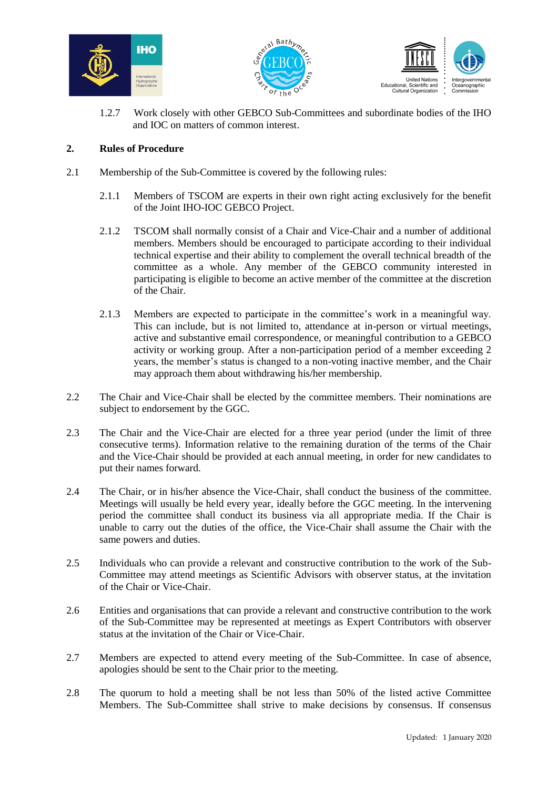





1.2.7 Work closely with other GEBCO Sub-Committees and subordinate bodies of the IHO and IOC on matters of common interest.

## **2. Rules of Procedure**

- 2.1 Membership of the Sub-Committee is covered by the following rules:
	- 2.1.1 Members of TSCOM are experts in their own right acting exclusively for the benefit of the Joint IHO-IOC GEBCO Project.
	- 2.1.2 TSCOM shall normally consist of a Chair and Vice-Chair and a number of additional members. Members should be encouraged to participate according to their individual technical expertise and their ability to complement the overall technical breadth of the committee as a whole. Any member of the GEBCO community interested in participating is eligible to become an active member of the committee at the discretion of the Chair.
	- 2.1.3 Members are expected to participate in the committee's work in a meaningful way. This can include, but is not limited to, attendance at in-person or virtual meetings, active and substantive email correspondence, or meaningful contribution to a GEBCO activity or working group. After a non-participation period of a member exceeding 2 years, the member's status is changed to a non-voting inactive member, and the Chair may approach them about withdrawing his/her membership.
- 2.2 The Chair and Vice-Chair shall be elected by the committee members. Their nominations are subject to endorsement by the GGC.
- 2.3 The Chair and the Vice-Chair are elected for a three year period (under the limit of three consecutive terms). Information relative to the remaining duration of the terms of the Chair and the Vice-Chair should be provided at each annual meeting, in order for new candidates to put their names forward.
- 2.4 The Chair, or in his/her absence the Vice-Chair, shall conduct the business of the committee. Meetings will usually be held every year, ideally before the GGC meeting. In the intervening period the committee shall conduct its business via all appropriate media. If the Chair is unable to carry out the duties of the office, the Vice-Chair shall assume the Chair with the same powers and duties.
- 2.5 Individuals who can provide a relevant and constructive contribution to the work of the Sub-Committee may attend meetings as Scientific Advisors with observer status, at the invitation of the Chair or Vice-Chair.
- 2.6 Entities and organisations that can provide a relevant and constructive contribution to the work of the Sub-Committee may be represented at meetings as Expert Contributors with observer status at the invitation of the Chair or Vice-Chair.
- 2.7 Members are expected to attend every meeting of the Sub-Committee. In case of absence, apologies should be sent to the Chair prior to the meeting.
- 2.8 The quorum to hold a meeting shall be not less than 50% of the listed active Committee Members. The Sub-Committee shall strive to make decisions by consensus. If consensus